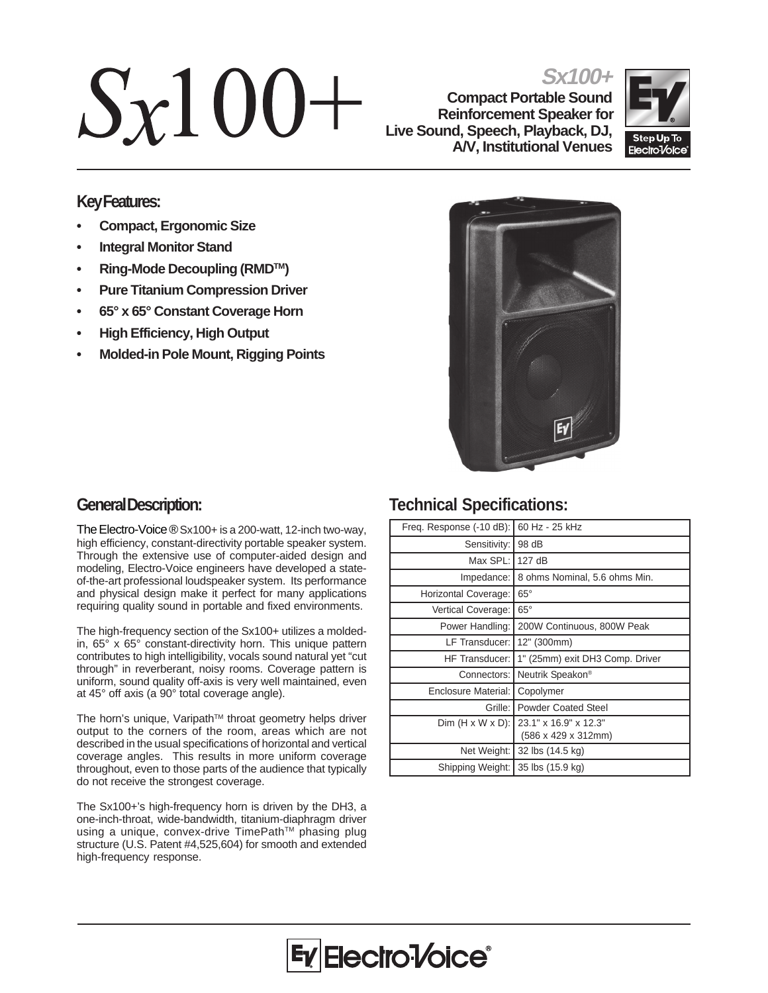# $Sx100+$

**Sx100+ Compact Portable Sound Reinforcement Speaker for Live Sound, Speech, Playback, DJ, A/V, Institutional Venues**



## **Key Features:**

- **Compact, Ergonomic Size**
- **Integral Monitor Stand**
- **Ring-Mode Decoupling (RMDTM)**
- **Pure Titanium Compression Driver**
- **65° x 65° Constant Coverage Horn**
- **High Efficiency, High Output**
- **Molded-in Pole Mount, Rigging Points**



## **General Description:**

The Electro-Voice ® Sx100+ is a 200-watt, 12-inch two-way, high efficiency, constant-directivity portable speaker system. Through the extensive use of computer-aided design and modeling, Electro-Voice engineers have developed a stateof-the-art professional loudspeaker system. Its performance and physical design make it perfect for many applications requiring quality sound in portable and fixed environments.

The high-frequency section of the Sx100+ utilizes a moldedin, 65° x 65° constant-directivity horn. This unique pattern contributes to high intelligibility, vocals sound natural yet "cut through" in reverberant, noisy rooms. Coverage pattern is uniform, sound quality off-axis is very well maintained, even at 45° off axis (a 90° total coverage angle).

The horn's unique, Varipath™ throat geometry helps driver output to the corners of the room, areas which are not described in the usual specifications of horizontal and vertical coverage angles. This results in more uniform coverage throughout, even to those parts of the audience that typically do not receive the strongest coverage.

The Sx100+'s high-frequency horn is driven by the DH3, a one-inch-throat, wide-bandwidth, titanium-diaphragm driver using a unique, convex-drive TimePath™ phasing plug structure (U.S. Patent #4,525,604) for smooth and extended high-frequency response.

# **Technical Specifications:**

| Freq. Response (-10 dB):     | 60 Hz - 25 kHz                               |
|------------------------------|----------------------------------------------|
| Sensitivity:                 | 98 dB                                        |
| Max SPL: I                   | 127 dB                                       |
| Impedance:                   | 8 ohms Nominal, 5.6 ohms Min.                |
| Horizontal Coverage:         | $65^{\circ}$                                 |
| Vertical Coverage:           | $65^\circ$                                   |
| Power Handling:              | 200W Continuous, 800W Peak                   |
| LF Transducer:               | 12" (300mm)                                  |
| <b>HF Transducer:</b>        | 1" (25mm) exit DH3 Comp. Driver              |
| Connectors:                  | Neutrik Speakon®                             |
| <b>Enclosure Material:</b>   | Copolymer                                    |
| Grille: I                    | <b>Powder Coated Steel</b>                   |
| $Dim (H \times W \times D):$ | 23.1" x 16.9" x 12.3"<br>(586 x 429 x 312mm) |
| Net Weight:                  | 32 lbs (14.5 kg)                             |
| Shipping Weight:             | 35 lbs (15.9 kg)                             |